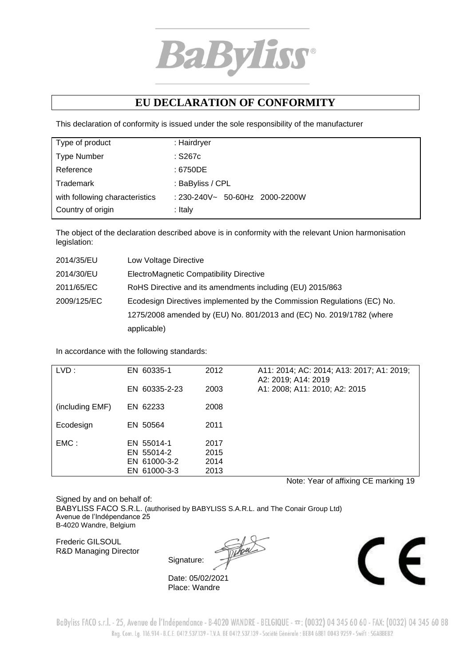

## **EU DECLARATION OF CONFORMITY**

This declaration of conformity is issued under the sole responsibility of the manufacturer

| Type of product                | : Hairdryer                           |
|--------------------------------|---------------------------------------|
| <b>Type Number</b>             | $:$ S267 $c$                          |
| Reference                      | : 6750DE                              |
| Trademark                      | : BaByliss / CPL                      |
| with following characteristics | $: 230 - 240V - 50 - 60Hz$ 2000-2200W |
| Country of origin              | : Italy                               |
|                                |                                       |

The object of the declaration described above is in conformity with the relevant Union harmonisation legislation:

| 2014/35/EU  | Low Voltage Directive                                                   |
|-------------|-------------------------------------------------------------------------|
| 2014/30/EU  | ElectroMagnetic Compatibility Directive                                 |
| 2011/65/EC  | RoHS Directive and its amendments including (EU) 2015/863               |
| 2009/125/EC | Ecodesign Directives implemented by the Commission Regulations (EC) No. |
|             | 1275/2008 amended by (EU) No. 801/2013 and (EC) No. 2019/1782 (where    |
|             | applicable)                                                             |

In accordance with the following standards:

| LVD:            | EN 60335-1<br>EN 60335-2-23                              | 2012<br>2003                 | A11: 2014; AC: 2014; A13: 2017; A1: 2019;<br>A2: 2019; A14: 2019<br>A1: 2008; A11: 2010; A2: 2015 |
|-----------------|----------------------------------------------------------|------------------------------|---------------------------------------------------------------------------------------------------|
| (including EMF) | EN 62233                                                 | 2008                         |                                                                                                   |
| Ecodesign       | EN 50564                                                 | 2011                         |                                                                                                   |
| EMC:            | EN 55014-1<br>EN 55014-2<br>EN 61000-3-2<br>EN 61000-3-3 | 2017<br>2015<br>2014<br>2013 |                                                                                                   |

Note: Year of affixing CE marking 19

Signed by and on behalf of: BABYLISS FACO S.R.L. (authorised by BABYLISS S.A.R.L. and The Conair Group Ltd) Avenue de l'Indépendance 25 B-4020 Wandre, Belgium

Frederic GILSOUL R&D Managing Director

Signature:

Date: 05/02/2021 Place: Wandre



BaByliss FACO s.r.l. - 25, Avenue de l'Indépendance - B-4020 WANDRE - BELGIQUE -  $\pi$ : (0032) 04 345 60 60 - FAX: (0032) 04 345 60 88 Reg. Com. Lg. 116.914 - B.C.E. 0412.537.139 - T.V.A. BE 0412.537.139 - Société Générale : BE84 6881 0043 9259 - Swift : SGABBEB2